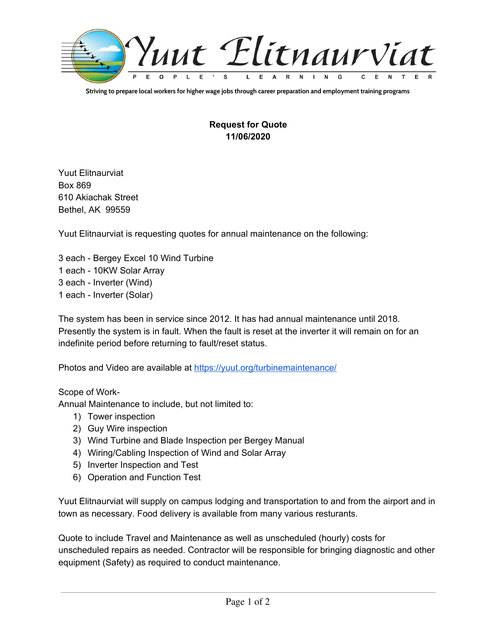

Striving to prepare local workers for higher wage jobs through career preparation and employment training programs

## **Request for Quote 11/06/2020**

Yuut Elitnaurviat Box 869 610 Akiachak Street Bethel, AK 99559

Yuut Elitnaurviat is requesting quotes for annual maintenance on the following:

 each - Bergey Excel 10 Wind Turbine each - 10KW Solar Array each - Inverter (Wind) each - Inverter (Solar)

The system has been in service since 2012. It has had annual maintenance until 2018. Presently the system is in fault. When the fault is reset at the inverter it will remain on for an indefinite period before returning to fault/reset status.

Photos and Video are available at <https://yuut.org/turbinemaintenance/>

Scope of Work-

Annual Maintenance to include, but not limited to:

- 1) Tower inspection
- 2) Guy Wire inspection
- 3) Wind Turbine and Blade Inspection per Bergey Manual
- 4) Wiring/Cabling Inspection of Wind and Solar Array
- 5) Inverter Inspection and Test
- 6) Operation and Function Test

Yuut Elitnaurviat will supply on campus lodging and transportation to and from the airport and in town as necessary. Food delivery is available from many various resturants.

Quote to include Travel and Maintenance as well as unscheduled (hourly) costs for unscheduled repairs as needed. Contractor will be responsible for bringing diagnostic and other equipment (Safety) as required to conduct maintenance.